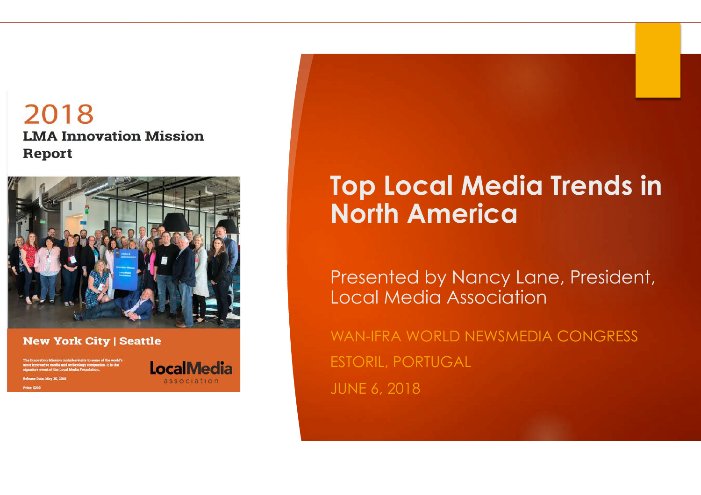#### 2018 **LMA Innovation Mission** Report



#### **New York City | Seattle**

### **LocalMedia**

association

### **Top Local Media Trends in North America**

Presented by Nancy Lane, President, Local Media Association

WAN-IFRA WORLD NEWSMEDIA CONGRESS ESTORIL, PORTUGAL JUNE 6, 2018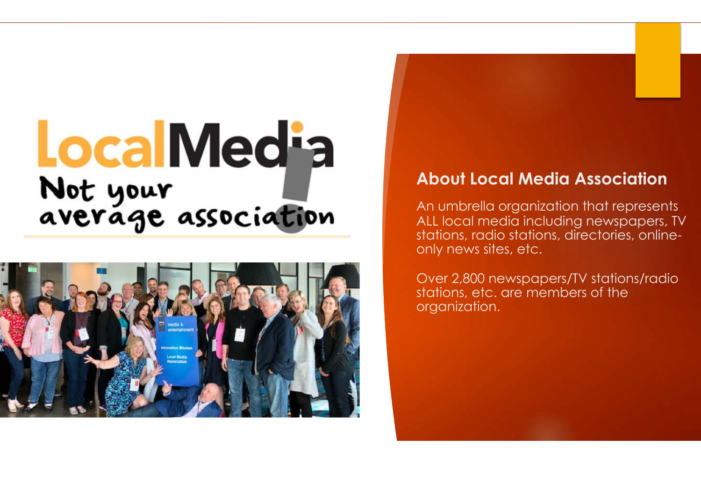# **LocalMedia** Not your<br>average association



#### **About Local Media Association**

An umbrella organization that represents ALL local media including newspapers, TV stations, radio stations, directories, onlineonly news sites, etc.

Over 2,800 newspapers/TV stations/radio stations, etc. are members of the organization.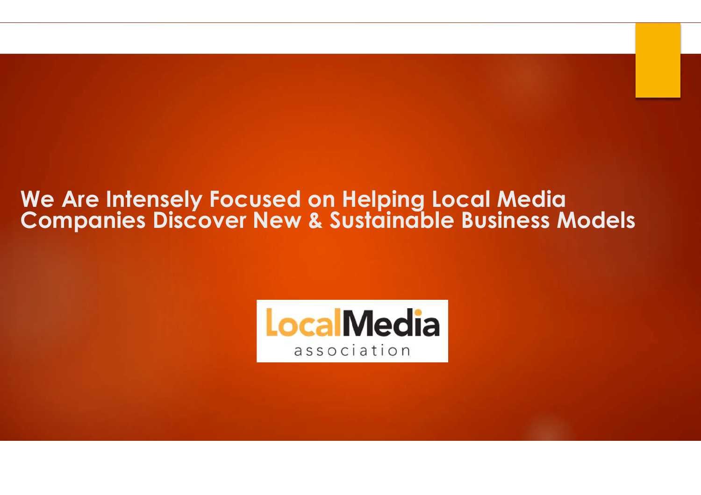#### **We Are Intensely Focused on Helping Local Media Companies Discover New & Sustainable Business Models**

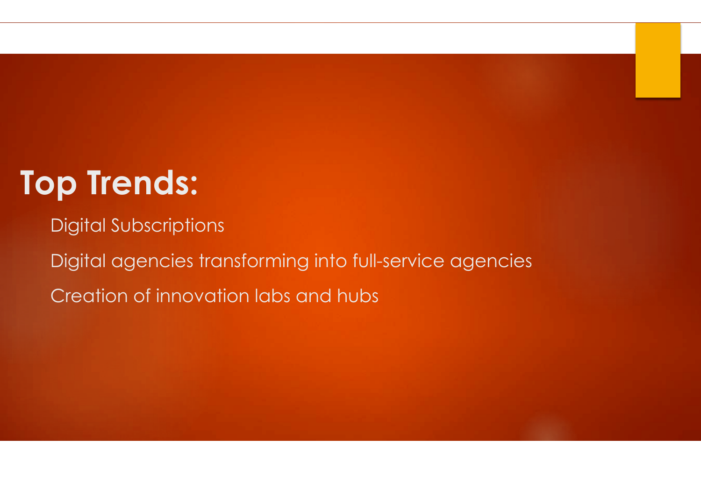### **Top Trends:**

Digital Subscriptions Digital agencies transforming into full-service agencies Creation of innovation labs and hubs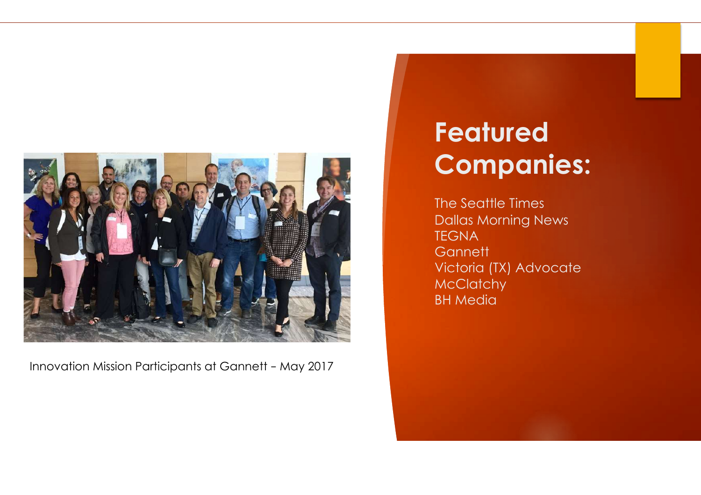

Innovation Mission Participants at Gannett – May 2017

### **Featured Companies:**

The Seattle Times Dallas Morning News **TEGNA Gannett** Victoria (TX) Advocate **McClatchy** BH Media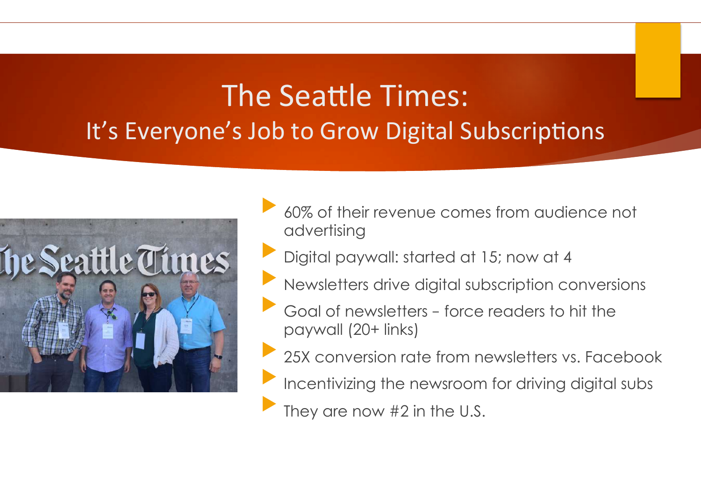### The Seattle Times: It's Everyone's Job to Grow Digital Subscriptions



- 60% of their revenue comes from audience not advertising
- Digital paywall: started at 15; now at 4
- Newsletters drive digital subscription conversions
- Goal of newsletters force readers to hit the paywall (20+ links)
- 25X conversion rate from newsletters vs. Facebook
- Incentivizing the newsroom for driving digital subs
- They are now  $#2$  in the U.S.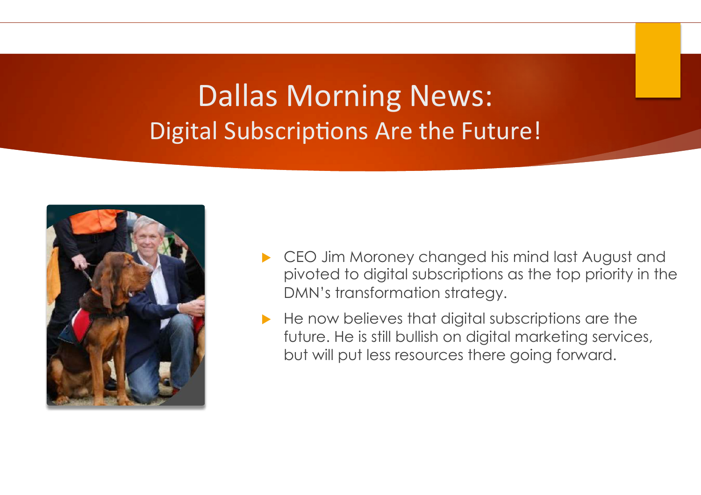### Dallas Morning News: Digital Subscriptions Are the Future!



- CEO Jim Moroney changed his mind last August and pivoted to digital subscriptions as the top priority in the DMN's transformation strategy.
- He now believes that digital subscriptions are the future. He is still bullish on digital marketing services, but will put less resources there going forward.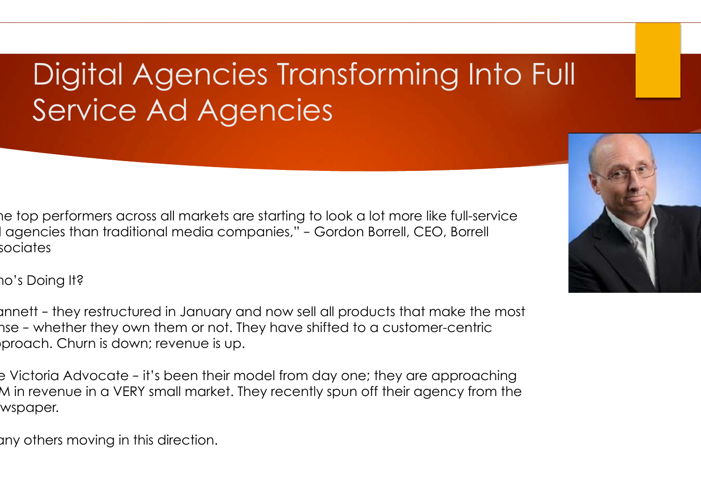### Digital Agencies Transforming Into Full Service Ad Agencies

he top performers across all markets are starting to look a lot more like full-service l agencies than traditional media companies," - Gordon Borrell, CEO, Borrell sociates

Who's Doing It?

annett - they restructured in January and now sell all products that make the most nse – whether they own them or not. They have shifted to a customer-centric proach. Churn is down; revenue is up.

e Victoria Advocate – it's been their model from day one; they are approaching \$5M in revenue in a VERY small market. They recently spun off their agency from the wspaper.

any others moving in this direction.

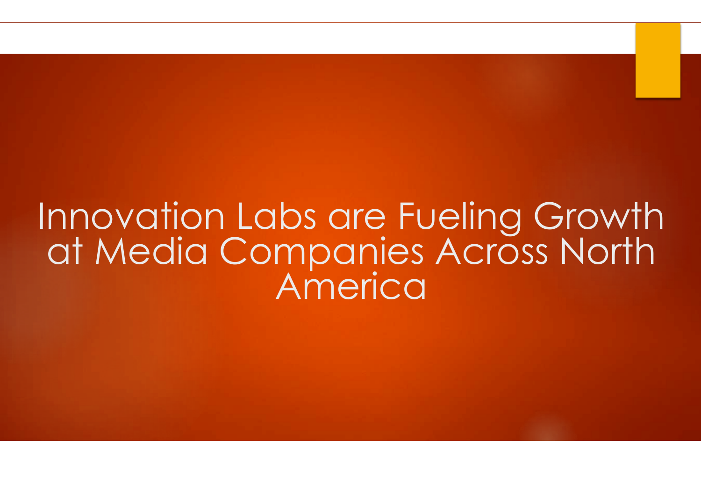### Innovation Labs are Fueling Growth at Media Companies Across North America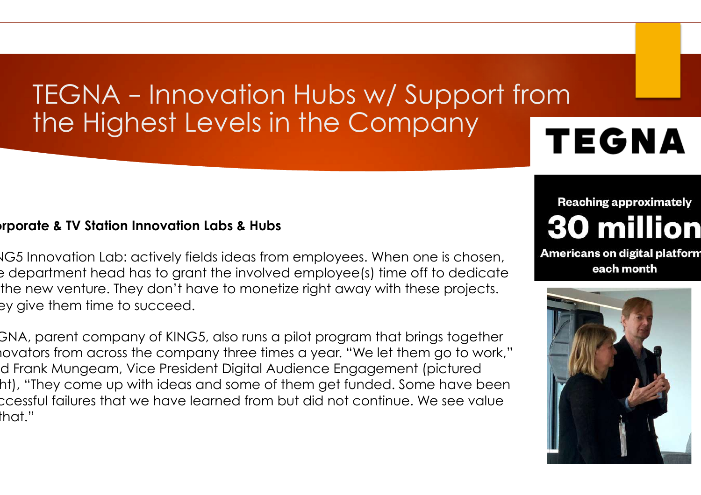### TEGNA – Innovation Hubs w/ Support from the Highest Levels in the Company

## **TEGNA**

#### **Corporate & TV Station Innovation Labs & Hubs**

IG5 Innovation Lab: actively fields ideas from employees. When one is chosen, the department head has to grant the involved employee(s) time off to dedicate the new venture. They don't have to monetize right away with these projects. ey give them time to succeed.

GNA, parent company of KING5, also runs a pilot program that brings together iovators from across the company three times a year. "We let them go to work," d Frank Mungeam, Vice President Digital Audience Engagement (pictured ht), "They come up with ideas and some of them get funded. Some have been successful failures that we have learned from but did not continue. We see value  $that."$ 

### **Reaching approximately 30 million**

**Americans on digital platform** each month

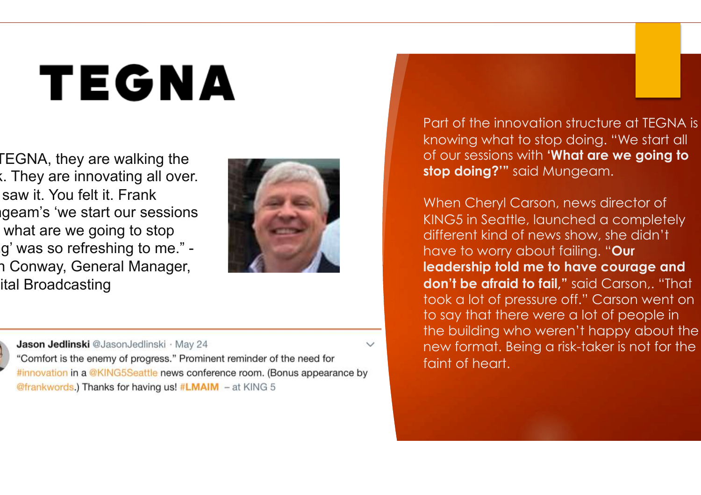## TEGNA

**EGNA, they are walking the**  $x<sub>k</sub>$ . They are innovating all over. You saw it. You felt it. Frank geam's 'we start our sessions what are we going to stop g' was so refreshing to me." -1 Conway, General Manager, ital Broadcasting





Jason Jedlinski @JasonJedlinski · May 24 "Comfort is the enemy of progress." Prominent reminder of the need for #innovation in a @KING5Seattle news conference room. (Bonus appearance by @frankwords.) Thanks for having us! #LMAIM - at KING 5

Part of the innovation structure at TEGNA is knowing what to stop doing. "We start all of our sessions with **'What are we going to stop doing?'"** said Mungeam.

When Cheryl Carson, news director of KING5 in Seattle, launched a completely different kind of news show, she didn't have to worry about failing. "**Our leadership told me to have courage and don't be afraid to fail,"** said Carson,. "That took a lot of pressure off." Carson went on to say that there were a lot of people in the building who weren't happy about the new format. Being a risk-taker is not for the faint of heart.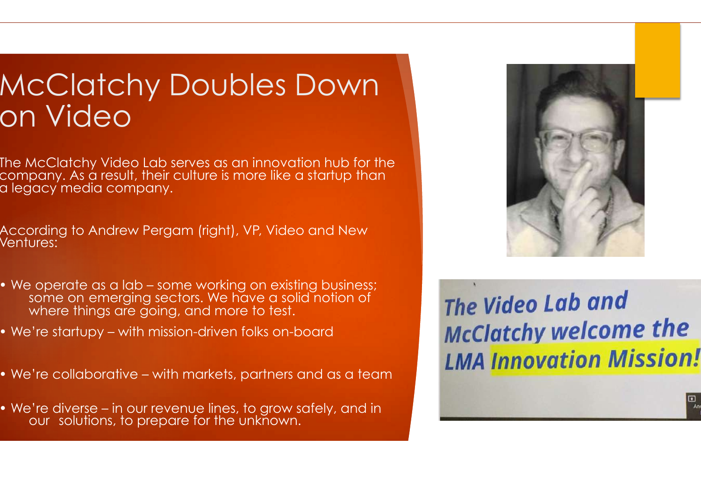### McClatchy Doubles Down on Video

The McClatchy Video Lab serves as an innovation hub for the company. As a result, their culture is more like a startup than a legacy media company.

According to Andrew Pergam (right), VP, Video and New Ventures:

- We operate as a lab some working on existing business; some on emerging sectors. We have a solid notion of where things are going, and more to test.
- We're startupy with mission-driven folks on-board

֖֖֖֦֦֖֖֖֧֧֧֧֧֚֚֚֚֚֚֚֚֚֚֚֚֚֚֚֚֞֡֡֡֡֡֡֬֝֓֡֡֡֬֝֬֝֓֞֡֬֓֞֡֬֝֓֞֡֬֝֓֬֝֬֝֬֝֓֬֝֬֝֬֝֬֝֬֝֬֝֬֝֬֝֬

• We're collaborative – with markets, partners and as a team

• We're diverse – in our revenue lines, to grow safely, and in our solutions, to prepare for the unknown.



The Video Lab and **McClatchy welcome the LMA Innovation Mission!** 

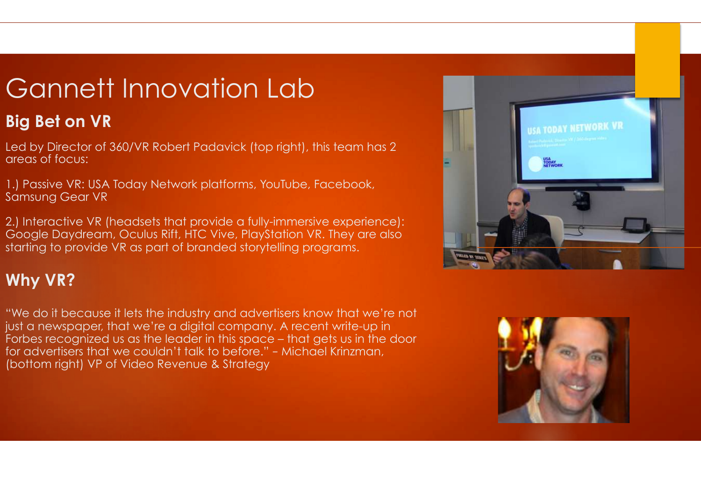### Gannett Innovation Lab

#### **Big Bet on VR**

Led by Director of 360/VR Robert Padavick (top right), this team has 2 areas of focus:

1.) Passive VR: USA Today Network platforms, YouTube, Facebook, Samsung Gear VR

2.) Interactive VR (headsets that provide a fully-immersive experience): Google Daydream, Oculus Rift, HTC Vive, PlayStation VR. They are also starting to provide VR as part of branded storytelling programs.

#### **Why VR?**

"We do it because it lets the industry and advertisers know that we're not just a newspaper, that we're a digital company. A recent write-up in Forbes recognized us as the leader in this space – that gets us in the door for advertisers that we couldn't talk to before." – Michael Krinzman, (bottom right) VP of Video Revenue & Strategy



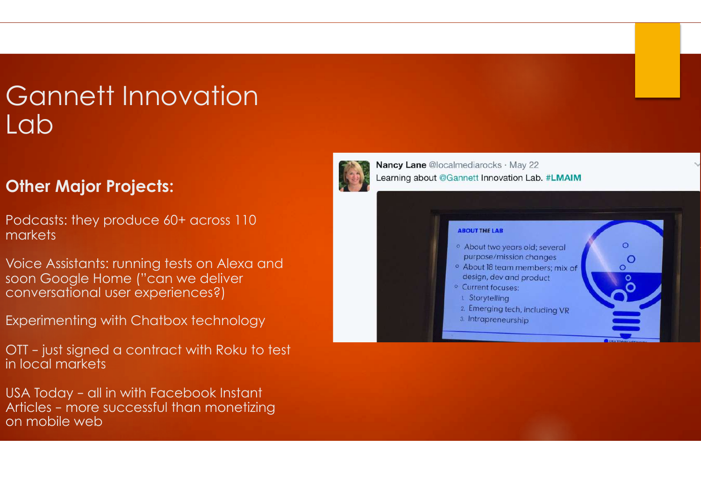### Gannett Innovation Lab

#### **Other Major Projects:**

Podcasts: they produce 60+ across 110 markets

Voice Assistants: running tests on Alexa and soon Google Home ("can we deliver conversational user experiences?)

Experimenting with Chatbox technology

OTT – just signed a contract with Roku to test in local markets

USA Today – all in with Facebook Instant Articles – more successful than monetizing on mobile web

Nancy Lane @localmediarocks · May 22 Learning about @Gannett Innovation Lab. #LMAIM

#### **ABOUT THE LAB**

<sup>o</sup> About two years old; several purpose/mission changes

 $\Omega$ 

- <sup>o</sup> About 18 team members; mix of design, dev and product
- <sup>o</sup> Current focuses:
- 1. Storytelling
- 2. Emerging tech, including VR
- 3. Intrapreneurship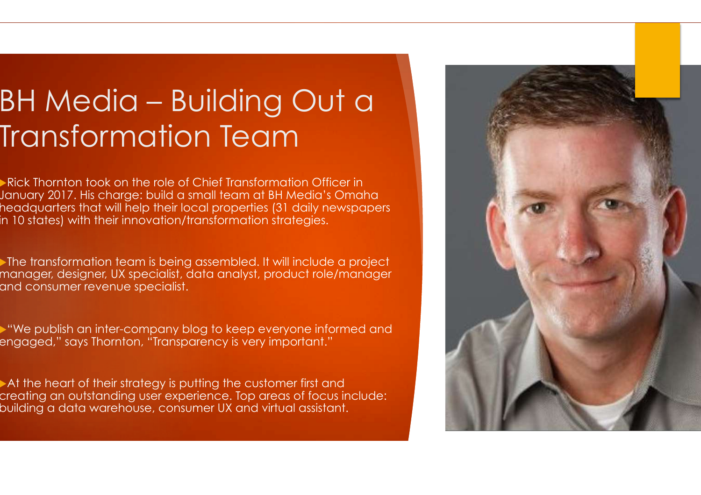### BH Media – Building Out a Transformation Team

Rick Thornton took on the role of Chief Transformation Officer in January 2017. His charge: build a small team at BH Media's Omaha headquarters that will help their local properties (31 daily newspapers in 10 states) with their innovation/transformation strategies.

The transformation team is being assembled. It will include a project manager, designer, UX specialist, data analyst, product role/manager and consumer revenue specialist.

u"We publish an inter-company blog to keep everyone informed and engaged," says Thornton, "Transparency is very important."

 $\blacktriangleright$  At the heart of their strategy is putting the customer first and creating an outstanding user experience. Top areas of focus include: building a data warehouse, consumer UX and virtual assistant.